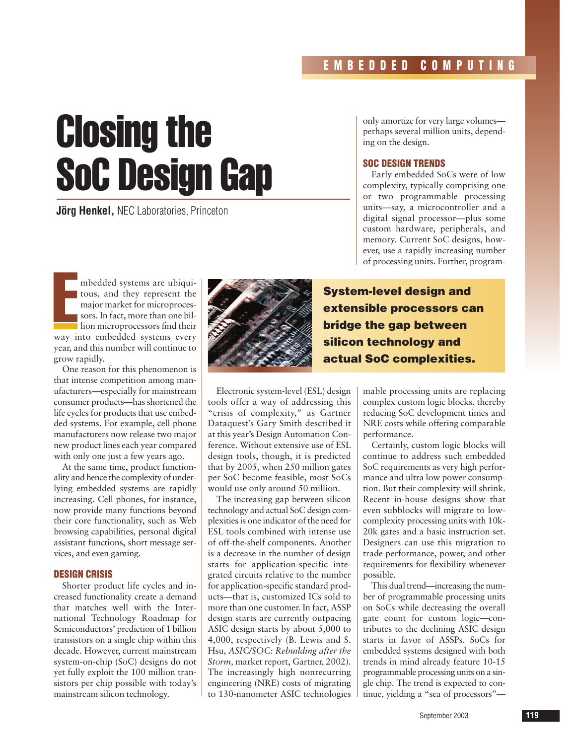# Closing the SoC Design Gap

**Jörg Henkel, NEC Laboratories, Princeton** 

only amortize for very large volumes perhaps several million units, depending on the design.

## **SOC DESIGN TRENDS**

Early embedded SoCs were of low complexity, typically comprising one or two programmable processing units—say, a microcontroller and a digital signal processor—plus some custom hardware, peripherals, and memory. Current SoC designs, however, use a rapidly increasing number of processing units. Further, program-

E mbedded systems are ubiquitous, and they represent the major market for microprocessors. In fact, more than one billion microprocessors find their way into embedded systems every year, and this number will continue to grow rapidly.

One reason for this phenomenon is that intense competition among manufacturers—especially for mainstream consumer products—has shortened the life cycles for products that use embedded systems. For example, cell phone manufacturers now release two major new product lines each year compared with only one just a few years ago.

At the same time, product functionality and hence the complexity of underlying embedded systems are rapidly increasing. Cell phones, for instance, now provide many functions beyond their core functionality, such as Web browsing capabilities, personal digital assistant functions, short message services, and even gaming.

## **DESIGN CRISIS**

Shorter product life cycles and increased functionality create a demand that matches well with the International Technology Roadmap for Semiconductors' prediction of 1 billion transistors on a single chip within this decade. However, current mainstream system-on-chip (SoC) designs do not yet fully exploit the 100 million transistors per chip possible with today's mainstream silicon technology.



**System-level design and extensible processors can bridge the gap between silicon technology and actual SoC complexities.**

Electronic system-level (ESL) design tools offer a way of addressing this "crisis of complexity," as Gartner Dataquest's Gary Smith described it at this year's Design Automation Conference. Without extensive use of ESL design tools, though, it is predicted that by 2005, when 250 million gates per SoC become feasible, most SoCs would use only around 50 million.

The increasing gap between silicon technology and actual SoC design complexities is one indicator of the need for ESL tools combined with intense use of off-the-shelf components. Another is a decrease in the number of design starts for application-specific integrated circuits relative to the number for application-specific standard products—that is, customized ICs sold to more than one customer. In fact, ASSP design starts are currently outpacing ASIC design starts by about 5,000 to 4,000, respectively (B. Lewis and S. Hsu, *ASIC/SOC: Rebuilding after the Storm,* market report, Gartner, 2002). The increasingly high nonrecurring engineering (NRE) costs of migrating to 130-nanometer ASIC technologies

mable processing units are replacing complex custom logic blocks, thereby reducing SoC development times and NRE costs while offering comparable performance.

Certainly, custom logic blocks will continue to address such embedded SoC requirements as very high performance and ultra low power consumption. But their complexity will shrink. Recent in-house designs show that even subblocks will migrate to lowcomplexity processing units with 10k-20k gates and a basic instruction set. Designers can use this migration to trade performance, power, and other requirements for flexibility whenever possible.

This dual trend—increasing the number of programmable processing units on SoCs while decreasing the overall gate count for custom logic—contributes to the declining ASIC design starts in favor of ASSPs. SoCs for embedded systems designed with both trends in mind already feature 10-15 programmable processing units on a single chip. The trend is expected to continue, yielding a "sea of processors"—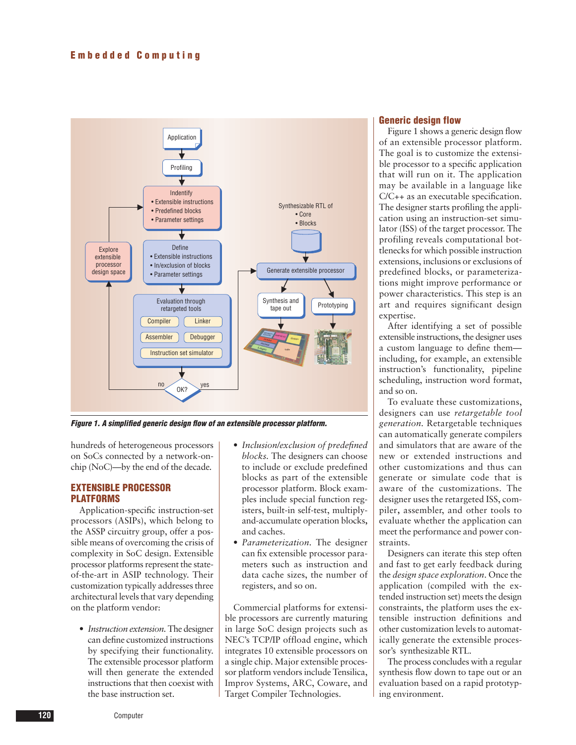

*Figure 1. A simplified generic design flow of an extensible processor platform.*

hundreds of heterogeneous processors on SoCs connected by a network-onchip (NoC)—by the end of the decade*.*

### **EXTENSIBLE PROCESSOR PLATFORMS**

Application-specific instruction-set processors (ASIPs), which belong to the ASSP circuitry group, offer a possible means of overcoming the crisis of complexity in SoC design. Extensible processor platforms represent the stateof-the-art in ASIP technology. Their customization typically addresses three architectural levels that vary depending on the platform vendor:

• *Instruction extension*. The designer can define customized instructions by specifying their functionality. The extensible processor platform will then generate the extended instructions that then coexist with the base instruction set.

- *Inclusion/exclusion of predefined blocks.* The designers can choose to include or exclude predefined blocks as part of the extensible processor platform. Block examples include special function registers, built-in self-test, multiplyand-accumulate operation blocks**,** and caches.
- *Parameterization.* The designer can fix extensible processor parameters **s**uch as instruction and data cache sizes, the number of registers, and so on.

Commercial platforms for extensible processors are currently maturing in large SoC design projects such as NEC's TCP/IP offload engine, which integrates 10 extensible processors on a single chip. Major extensible processor platform vendors include Tensilica, Improv Systems, ARC, Coware, and Target Compiler Technologies.

# **Generic design flow**

Figure 1 shows a generic design flow of an extensible processor platform. The goal is to customize the extensible processor to a specific application that will run on it. The application may be available in a language like C/C++ as an executable specification. The designer starts profiling the application using an instruction-set simulator (ISS) of the target processor. The profiling reveals computational bottlenecks for which possible instruction extensions, inclusions or exclusions of predefined blocks, or parameterizations might improve performance or power characteristics. This step is an art and requires significant design expertise.

After identifying a set of possible extensible instructions, the designer uses a custom language to define them including, for example, an extensible instruction's functionality, pipeline scheduling, instruction word format, and so on.

To evaluate these customizations, designers can use *retargetable tool generation.* Retargetable techniques can automatically generate compilers and simulators that are aware of the new or extended instructions and other customizations and thus can generate or simulate code that is aware of the customizations. The designer uses the retargeted ISS, compiler**,** assembler, and other tools to evaluate whether the application can meet the performance and power constraints.

Designers can iterate this step often and fast to get early feedback during the *design space exploration*. Once the application (compiled with the extended instruction set) meets the design constraints, the platform uses the extensible instruction definitions and other customization levels to automatically generate the extensible processor's synthesizable RTL.

The process concludes with a regular synthesis flow down to tape out or an evaluation based on a rapid prototyping environment.